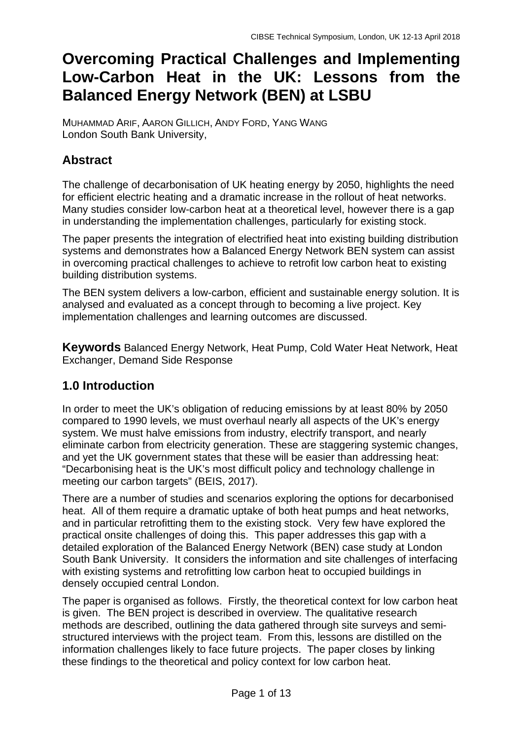# **Overcoming Practical Challenges and Implementing Low-Carbon Heat in the UK: Lessons from the Balanced Energy Network (BEN) at LSBU**

MUHAMMAD ARIF, AARON GILLICH, ANDY FORD, YANG WANG London South Bank University,

# **Abstract**

The challenge of decarbonisation of UK heating energy by 2050, highlights the need for efficient electric heating and a dramatic increase in the rollout of heat networks. Many studies consider low-carbon heat at a theoretical level, however there is a gap in understanding the implementation challenges, particularly for existing stock.

The paper presents the integration of electrified heat into existing building distribution systems and demonstrates how a Balanced Energy Network BEN system can assist in overcoming practical challenges to achieve to retrofit low carbon heat to existing building distribution systems.

The BEN system delivers a low-carbon, efficient and sustainable energy solution. It is analysed and evaluated as a concept through to becoming a live project. Key implementation challenges and learning outcomes are discussed.

**Keywords** Balanced Energy Network, Heat Pump, Cold Water Heat Network, Heat Exchanger, Demand Side Response

# **1.0 Introduction**

In order to meet the UK's obligation of reducing emissions by at least 80% by 2050 compared to 1990 levels, we must overhaul nearly all aspects of the UK's energy system. We must halve emissions from industry, electrify transport, and nearly eliminate carbon from electricity generation. These are staggering systemic changes, and yet the UK government states that these will be easier than addressing heat: "Decarbonising heat is the UK's most difficult policy and technology challenge in meeting our carbon targets" (BEIS, 2017).

There are a number of studies and scenarios exploring the options for decarbonised heat. All of them require a dramatic uptake of both heat pumps and heat networks, and in particular retrofitting them to the existing stock. Very few have explored the practical onsite challenges of doing this. This paper addresses this gap with a detailed exploration of the Balanced Energy Network (BEN) case study at London South Bank University. It considers the information and site challenges of interfacing with existing systems and retrofitting low carbon heat to occupied buildings in densely occupied central London.

The paper is organised as follows. Firstly, the theoretical context for low carbon heat is given. The BEN project is described in overview. The qualitative research methods are described, outlining the data gathered through site surveys and semistructured interviews with the project team. From this, lessons are distilled on the information challenges likely to face future projects. The paper closes by linking these findings to the theoretical and policy context for low carbon heat.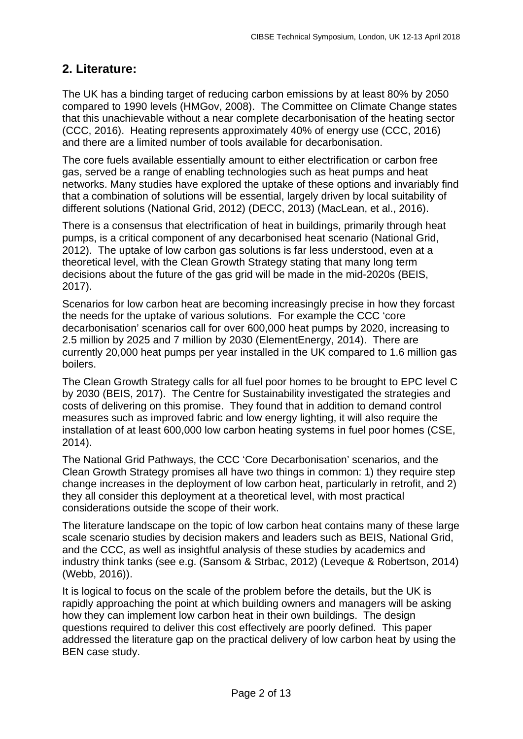### **2. Literature:**

The UK has a binding target of reducing carbon emissions by at least 80% by 2050 compared to 1990 levels (HMGov, 2008). The Committee on Climate Change states that this unachievable without a near complete decarbonisation of the heating sector (CCC, 2016). Heating represents approximately 40% of energy use (CCC, 2016) and there are a limited number of tools available for decarbonisation.

The core fuels available essentially amount to either electrification or carbon free gas, served be a range of enabling technologies such as heat pumps and heat networks. Many studies have explored the uptake of these options and invariably find that a combination of solutions will be essential, largely driven by local suitability of different solutions (National Grid, 2012) (DECC, 2013) (MacLean, et al., 2016).

There is a consensus that electrification of heat in buildings, primarily through heat pumps, is a critical component of any decarbonised heat scenario (National Grid, 2012). The uptake of low carbon gas solutions is far less understood, even at a theoretical level, with the Clean Growth Strategy stating that many long term decisions about the future of the gas grid will be made in the mid-2020s (BEIS, 2017).

Scenarios for low carbon heat are becoming increasingly precise in how they forcast the needs for the uptake of various solutions. For example the CCC 'core decarbonisation' scenarios call for over 600,000 heat pumps by 2020, increasing to 2.5 million by 2025 and 7 million by 2030 (ElementEnergy, 2014). There are currently 20,000 heat pumps per year installed in the UK compared to 1.6 million gas boilers.

The Clean Growth Strategy calls for all fuel poor homes to be brought to EPC level C by 2030 (BEIS, 2017). The Centre for Sustainability investigated the strategies and costs of delivering on this promise. They found that in addition to demand control measures such as improved fabric and low energy lighting, it will also require the installation of at least 600,000 low carbon heating systems in fuel poor homes (CSE, 2014).

The National Grid Pathways, the CCC 'Core Decarbonisation' scenarios, and the Clean Growth Strategy promises all have two things in common: 1) they require step change increases in the deployment of low carbon heat, particularly in retrofit, and 2) they all consider this deployment at a theoretical level, with most practical considerations outside the scope of their work.

The literature landscape on the topic of low carbon heat contains many of these large scale scenario studies by decision makers and leaders such as BEIS, National Grid, and the CCC, as well as insightful analysis of these studies by academics and industry think tanks (see e.g. (Sansom & Strbac, 2012) (Leveque & Robertson, 2014) (Webb, 2016)).

It is logical to focus on the scale of the problem before the details, but the UK is rapidly approaching the point at which building owners and managers will be asking how they can implement low carbon heat in their own buildings. The design questions required to deliver this cost effectively are poorly defined. This paper addressed the literature gap on the practical delivery of low carbon heat by using the BEN case study.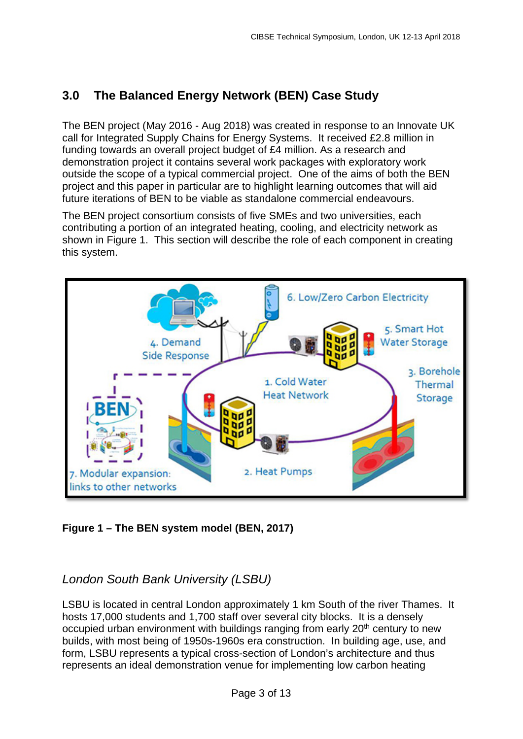# **3.0 The Balanced Energy Network (BEN) Case Study**

The BEN project (May 2016 - Aug 2018) was created in response to an Innovate UK call for Integrated Supply Chains for Energy Systems. It received £2.8 million in funding towards an overall project budget of £4 million. As a research and demonstration project it contains several work packages with exploratory work outside the scope of a typical commercial project. One of the aims of both the BEN project and this paper in particular are to highlight learning outcomes that will aid future iterations of BEN to be viable as standalone commercial endeavours.

The BEN project consortium consists of five SMEs and two universities, each contributing a portion of an integrated heating, cooling, and electricity network as shown in Figure 1. This section will describe the role of each component in creating this system.



**Figure 1 – The BEN system model (BEN, 2017)**

### *London South Bank University (LSBU)*

LSBU is located in central London approximately 1 km South of the river Thames. It hosts 17,000 students and 1,700 staff over several city blocks. It is a densely occupied urban environment with buildings ranging from early 20<sup>th</sup> century to new builds, with most being of 1950s-1960s era construction. In building age, use, and form, LSBU represents a typical cross-section of London's architecture and thus represents an ideal demonstration venue for implementing low carbon heating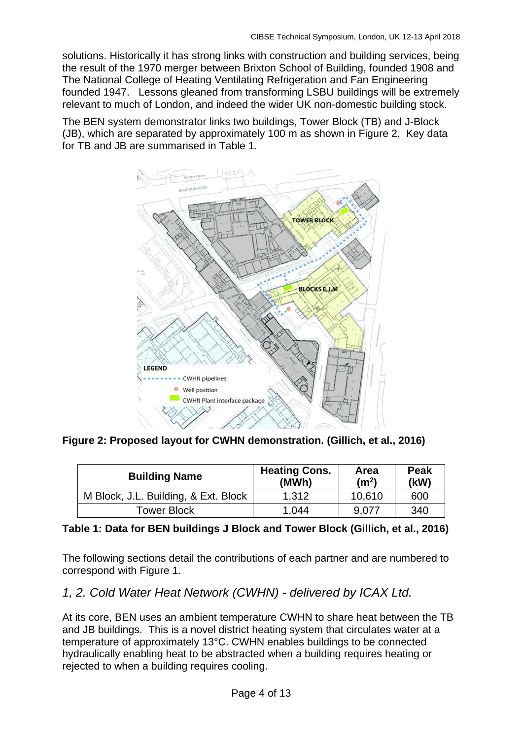solutions. Historically it has strong links with construction and building services, being the result of the 1970 merger between Brixton School of Building, founded 1908 and The National College of Heating Ventilating Refrigeration and Fan Engineering founded 1947. Lessons gleaned from transforming LSBU buildings will be extremely relevant to much of London, and indeed the wider UK non-domestic building stock.

The BEN system demonstrator links two buildings, Tower Block (TB) and J-Block (JB), which are separated by approximately 100 m as shown in Figure 2. Key data for TB and JB are summarised in Table 1.



**Figure 2: Proposed layout for CWHN demonstration. (Gillich, et al., 2016)**

| <b>Building Name</b>                 | <b>Heating Cons.</b><br>(MWh) | Area<br>(m <sup>2</sup> ) | <b>Peak</b><br>(kW) |
|--------------------------------------|-------------------------------|---------------------------|---------------------|
| M Block, J.L. Building, & Ext. Block | 1.312                         | 10.610                    | 600                 |
| Tower Block                          | 1.044                         | 9.077                     | 340                 |

#### **Table 1: Data for BEN buildings J Block and Tower Block (Gillich, et al., 2016)**

The following sections detail the contributions of each partner and are numbered to correspond with Figure 1.

#### *1, 2. Cold Water Heat Network (CWHN) - delivered by ICAX Ltd.*

At its core, BEN uses an ambient temperature CWHN to share heat between the TB and JB buildings. This is a novel district heating system that circulates water at a temperature of approximately 13°C. CWHN enables buildings to be connected hydraulically enabling heat to be abstracted when a building requires heating or rejected to when a building requires cooling.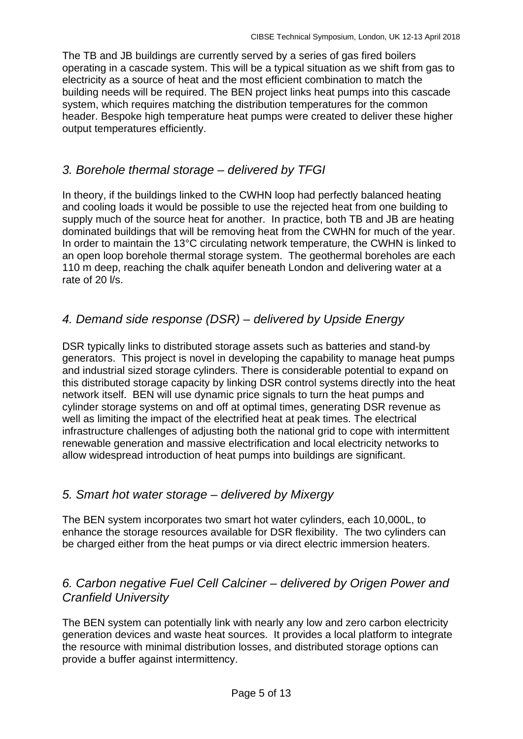The TB and JB buildings are currently served by a series of gas fired boilers operating in a cascade system. This will be a typical situation as we shift from gas to electricity as a source of heat and the most efficient combination to match the building needs will be required. The BEN project links heat pumps into this cascade system, which requires matching the distribution temperatures for the common header. Bespoke high temperature heat pumps were created to deliver these higher output temperatures efficiently.

### *3. Borehole thermal storage – delivered by TFGI*

In theory, if the buildings linked to the CWHN loop had perfectly balanced heating and cooling loads it would be possible to use the rejected heat from one building to supply much of the source heat for another. In practice, both TB and JB are heating dominated buildings that will be removing heat from the CWHN for much of the year. In order to maintain the 13°C circulating network temperature, the CWHN is linked to an open loop borehole thermal storage system. The geothermal boreholes are each 110 m deep, reaching the chalk aquifer beneath London and delivering water at a rate of 20 l/s.

# *4. Demand side response (DSR) – delivered by Upside Energy*

DSR typically links to distributed storage assets such as batteries and stand-by generators. This project is novel in developing the capability to manage heat pumps and industrial sized storage cylinders. There is considerable potential to expand on this distributed storage capacity by linking DSR control systems directly into the heat network itself. BEN will use dynamic price signals to turn the heat pumps and cylinder storage systems on and off at optimal times, generating DSR revenue as well as limiting the impact of the electrified heat at peak times. The electrical infrastructure challenges of adjusting both the national grid to cope with intermittent renewable generation and massive electrification and local electricity networks to allow widespread introduction of heat pumps into buildings are significant.

#### *5. Smart hot water storage – delivered by Mixergy*

The BEN system incorporates two smart hot water cylinders, each 10,000L, to enhance the storage resources available for DSR flexibility. The two cylinders can be charged either from the heat pumps or via direct electric immersion heaters.

### *6. Carbon negative Fuel Cell Calciner – delivered by Origen Power and Cranfield University*

[The BEN system can potentially link with nearly any low and zero carbon electricity](http://www.cranfield.ac.uk/Business/Research-and-consultancy/How-Cranfield-can-help-your-business)  generation devices [and waste heat sources. It provides a local platform to integrate](http://www.cranfield.ac.uk/Business/Research-and-consultancy/How-Cranfield-can-help-your-business)  [the resource with minimal distribution losses, and distributed storage options can](http://www.cranfield.ac.uk/Business/Research-and-consultancy/How-Cranfield-can-help-your-business)  provide a [buffer against intermittency.](http://www.cranfield.ac.uk/Business/Research-and-consultancy/How-Cranfield-can-help-your-business)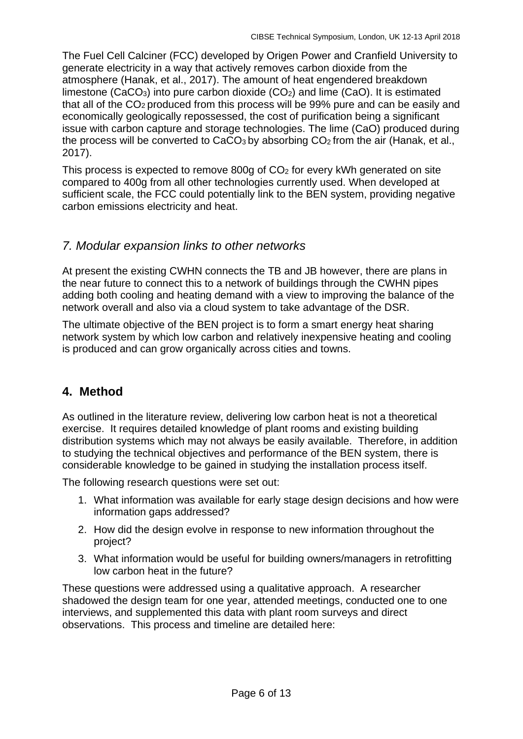[The Fuel Cell Calciner \(FCC\) developed by Origen Power and Cranfield University to](http://www.cranfield.ac.uk/Business/Research-and-consultancy/How-Cranfield-can-help-your-business)  [generate electricity in a way that actively removes carbon dioxide from the](http://www.cranfield.ac.uk/Business/Research-and-consultancy/How-Cranfield-can-help-your-business)  atmosphere [\(Hanak, et al., 2017\). T](http://www.cranfield.ac.uk/Business/Research-and-consultancy/How-Cranfield-can-help-your-business)he amount of heat engendered breakdown limestone (CaCO<sub>3</sub>) into pure carbon dioxide (CO<sub>2</sub>) and lime (CaO). It is estimated that all of the CO2 produced from this process will be 99% pure and can be easily and economically geologically repossessed, the cost of purification being a significant issue with carbon capture and storage technologies. The lime (CaO) produced during the process will be converted to  $CaCO<sub>3</sub>$  by absorbing  $CO<sub>2</sub>$  from the air (Hanak, et al., 2017).

This process is expected to remove 800g of CO2 for every kWh generated on site compared to 400g from all other technologies currently used. When developed at sufficient scale, the FCC could potentially link to the BEN system, providing negative carbon emissions electricity and heat.

### *7. Modular expansion links to other networks*

At present the existing CWHN connects the TB and JB however, there are plans in the near future to connect this to a network of buildings through the CWHN pipes adding both cooling and heating demand with a view to improving the balance of the network overall and also via a cloud system to take advantage of the DSR.

The ultimate objective of the BEN project is to form a smart energy heat sharing network system by which low carbon and relatively inexpensive heating and cooling is produced and can grow organically across cities and towns.

# **4. Method**

As outlined in the literature review, delivering low carbon heat is not a theoretical exercise. It requires detailed knowledge of plant rooms and existing building distribution systems which may not always be easily available. Therefore, in addition to studying the technical objectives and performance of the BEN system, there is considerable knowledge to be gained in studying the installation process itself.

The following research questions were set out:

- 1. What information was available for early stage design decisions and how were information gaps addressed?
- 2. How did the design evolve in response to new information throughout the project?
- 3. What information would be useful for building owners/managers in retrofitting low carbon heat in the future?

These questions were addressed using a qualitative approach. A researcher shadowed the design team for one year, attended meetings, conducted one to one interviews, and supplemented this data with plant room surveys and direct observations. This process and timeline are detailed here: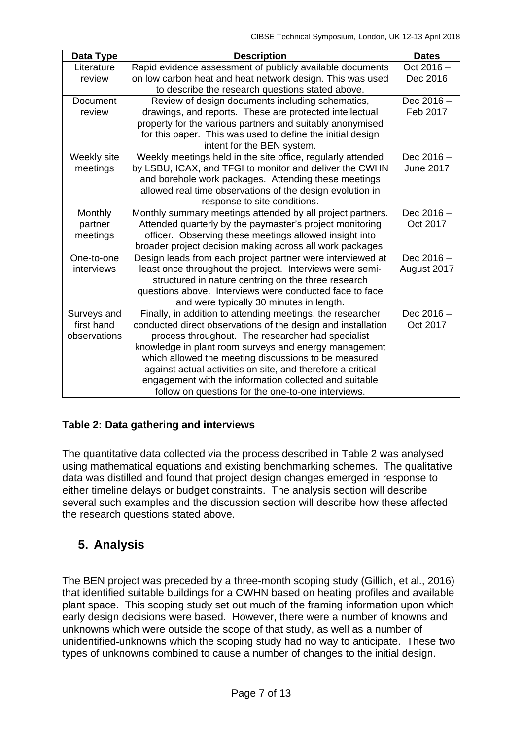| Data Type       | <b>Description</b>                                           | <b>Dates</b> |
|-----------------|--------------------------------------------------------------|--------------|
| Literature      | Rapid evidence assessment of publicly available documents    | Oct 2016 -   |
| review          | on low carbon heat and heat network design. This was used    | Dec 2016     |
|                 | to describe the research questions stated above.             |              |
| <b>Document</b> | Review of design documents including schematics,             | Dec 2016-    |
| review          | drawings, and reports. These are protected intellectual      | Feb 2017     |
|                 | property for the various partners and suitably anonymised    |              |
|                 | for this paper. This was used to define the initial design   |              |
|                 | intent for the BEN system.                                   |              |
| Weekly site     | Weekly meetings held in the site office, regularly attended  | Dec $2016 -$ |
| meetings        | by LSBU, ICAX, and TFGI to monitor and deliver the CWHN      | June 2017    |
|                 | and borehole work packages. Attending these meetings         |              |
|                 | allowed real time observations of the design evolution in    |              |
|                 | response to site conditions.                                 |              |
| Monthly         | Monthly summary meetings attended by all project partners.   | Dec $2016 -$ |
| partner         | Attended quarterly by the paymaster's project monitoring     | Oct 2017     |
| meetings        | officer. Observing these meetings allowed insight into       |              |
|                 | broader project decision making across all work packages.    |              |
| One-to-one      | Design leads from each project partner were interviewed at   | Dec 2016 -   |
| interviews      | least once throughout the project. Interviews were semi-     | August 2017  |
|                 | structured in nature centring on the three research          |              |
|                 | questions above. Interviews were conducted face to face      |              |
|                 | and were typically 30 minutes in length.                     |              |
| Surveys and     | Finally, in addition to attending meetings, the researcher   | Dec 2016-    |
| first hand      | conducted direct observations of the design and installation | Oct 2017     |
| observations    | process throughout. The researcher had specialist            |              |
|                 | knowledge in plant room surveys and energy management        |              |
|                 | which allowed the meeting discussions to be measured         |              |
|                 | against actual activities on site, and therefore a critical  |              |
|                 | engagement with the information collected and suitable       |              |
|                 | follow on questions for the one-to-one interviews.           |              |

#### **Table 2: Data gathering and interviews**

The quantitative data collected via the process described in Table 2 was analysed using mathematical equations and existing benchmarking schemes. The qualitative data was distilled and found that project design changes emerged in response to either timeline delays or budget constraints. The analysis section will describe several such examples and the discussion section will describe how these affected the research questions stated above.

# **5. Analysis**

The BEN project was preceded by a three-month scoping study (Gillich, et al., 2016) that identified suitable buildings for a CWHN based on heating profiles and available plant space. This scoping study set out much of the framing information upon which early design decisions were based. However, there were a number of knowns and unknowns which were outside the scope of that study, as well as a number of unidentified-unknowns which the scoping study had no way to anticipate. These two types of unknowns combined to cause a number of changes to the initial design.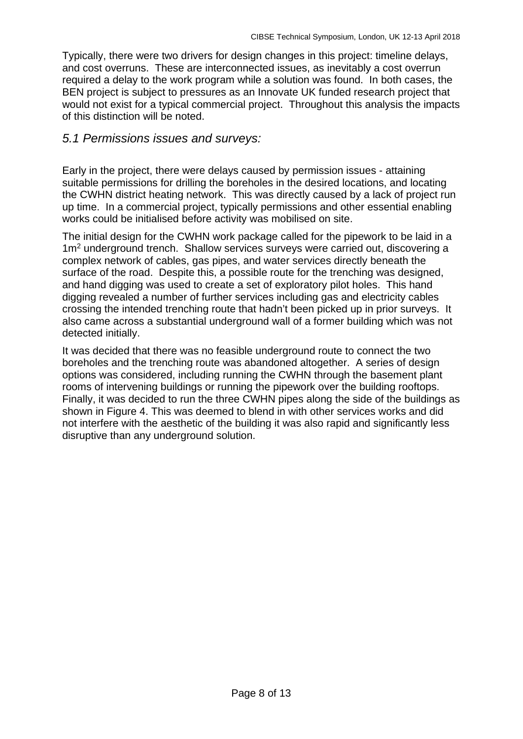Typically, there were two drivers for design changes in this project: timeline delays, and cost overruns. These are interconnected issues, as inevitably a cost overrun required a delay to the work program while a solution was found. In both cases, the BEN project is subject to pressures as an Innovate UK funded research project that would not exist for a typical commercial project. Throughout this analysis the impacts of this distinction will be noted.

#### *5.1 Permissions issues and surveys:*

Early in the project, there were delays caused by permission issues - attaining suitable permissions for drilling the boreholes in the desired locations, and locating the CWHN district heating network. This was directly caused by a lack of project run up time. In a commercial project, typically permissions and other essential enabling works could be initialised before activity was mobilised on site.

The initial design for the CWHN work package called for the pipework to be laid in a 1m<sup>2</sup> underground trench. Shallow services surveys were carried out, discovering a complex network of cables, gas pipes, and water services directly beneath the surface of the road. Despite this, a possible route for the trenching was designed, and hand digging was used to create a set of exploratory pilot holes. This hand digging revealed a number of further services including gas and electricity cables crossing the intended trenching route that hadn't been picked up in prior surveys. It also came across a substantial underground wall of a former building which was not detected initially.

It was decided that there was no feasible underground route to connect the two boreholes and the trenching route was abandoned altogether. A series of design options was considered, including running the CWHN through the basement plant rooms of intervening buildings or running the pipework over the building rooftops. Finally, it was decided to run the three CWHN pipes along the side of the buildings as shown in Figure 4. This was deemed to blend in with other services works and did not interfere with the aesthetic of the building it was also rapid and significantly less disruptive than any underground solution.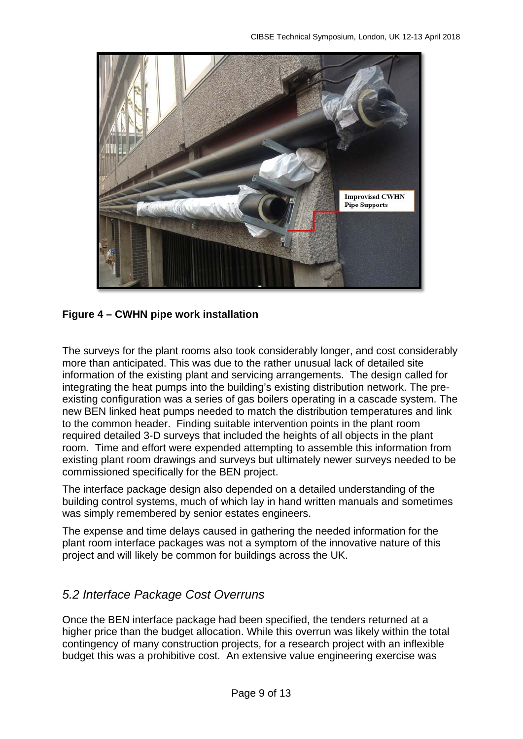

#### **Figure 4 – CWHN pipe work installation**

The surveys for the plant rooms also took considerably longer, and cost considerably more than anticipated. This was due to the rather unusual lack of detailed site information of the existing plant and servicing arrangements. The design called for integrating the heat pumps into the building's existing distribution network. The preexisting configuration was a series of gas boilers operating in a cascade system. The new BEN linked heat pumps needed to match the distribution temperatures and link to the common header. Finding suitable intervention points in the plant room required detailed 3-D surveys that included the heights of all objects in the plant room. Time and effort were expended attempting to assemble this information from existing plant room drawings and surveys but ultimately newer surveys needed to be commissioned specifically for the BEN project.

The interface package design also depended on a detailed understanding of the building control systems, much of which lay in hand written manuals and sometimes was simply remembered by senior estates engineers.

The expense and time delays caused in gathering the needed information for the plant room interface packages was not a symptom of the innovative nature of this project and will likely be common for buildings across the UK.

#### *5.2 Interface Package Cost Overruns*

Once the BEN interface package had been specified, the tenders returned at a higher price than the budget allocation. While this overrun was likely within the total contingency of many construction projects, for a research project with an inflexible budget this was a prohibitive cost. An extensive value engineering exercise was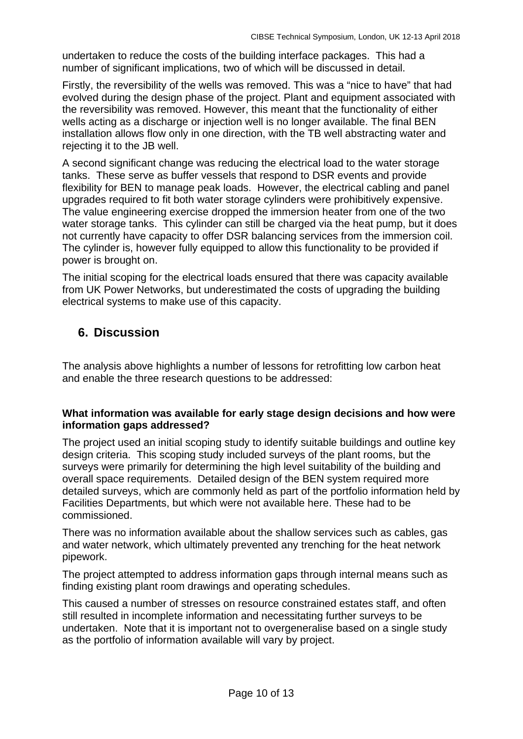undertaken to reduce the costs of the building interface packages. This had a number of significant implications, two of which will be discussed in detail.

Firstly, the reversibility of the wells was removed. This was a "nice to have" that had evolved during the design phase of the project. Plant and equipment associated with the reversibility was removed. However, this meant that the functionality of either wells acting as a discharge or injection well is no longer available. The final BEN installation allows flow only in one direction, with the TB well abstracting water and rejecting it to the JB well.

A second significant change was reducing the electrical load to the water storage tanks. These serve as buffer vessels that respond to DSR events and provide flexibility for BEN to manage peak loads. However, the electrical cabling and panel upgrades required to fit both water storage cylinders were prohibitively expensive. The value engineering exercise dropped the immersion heater from one of the two water storage tanks. This cylinder can still be charged via the heat pump, but it does not currently have capacity to offer DSR balancing services from the immersion coil. The cylinder is, however fully equipped to allow this functionality to be provided if power is brought on.

The initial scoping for the electrical loads ensured that there was capacity available from UK Power Networks, but underestimated the costs of upgrading the building electrical systems to make use of this capacity.

### **6. Discussion**

The analysis above highlights a number of lessons for retrofitting low carbon heat and enable the three research questions to be addressed:

#### **What information was available for early stage design decisions and how were information gaps addressed?**

The project used an initial scoping study to identify suitable buildings and outline key design criteria. This scoping study included surveys of the plant rooms, but the surveys were primarily for determining the high level suitability of the building and overall space requirements. Detailed design of the BEN system required more detailed surveys, which are commonly held as part of the portfolio information held by Facilities Departments, but which were not available here. These had to be commissioned.

There was no information available about the shallow services such as cables, gas and water network, which ultimately prevented any trenching for the heat network pipework.

The project attempted to address information gaps through internal means such as finding existing plant room drawings and operating schedules.

This caused a number of stresses on resource constrained estates staff, and often still resulted in incomplete information and necessitating further surveys to be undertaken. Note that it is important not to overgeneralise based on a single study as the portfolio of information available will vary by project.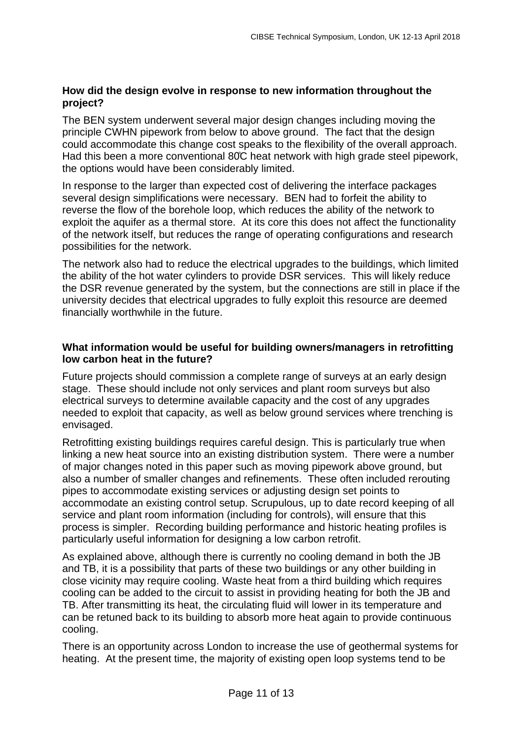#### **How did the design evolve in response to new information throughout the project?**

The BEN system underwent several major design changes including moving the principle CWHN pipework from below to above ground. The fact that the design could accommodate this change cost speaks to the flexibility of the overall approach. Had this been a more conventional 80̊C heat network with high grade steel pipework, the options would have been considerably limited.

In response to the larger than expected cost of delivering the interface packages several design simplifications were necessary. BEN had to forfeit the ability to reverse the flow of the borehole loop, which reduces the ability of the network to exploit the aquifer as a thermal store. At its core this does not affect the functionality of the network itself, but reduces the range of operating configurations and research possibilities for the network.

The network also had to reduce the electrical upgrades to the buildings, which limited the ability of the hot water cylinders to provide DSR services. This will likely reduce the DSR revenue generated by the system, but the connections are still in place if the university decides that electrical upgrades to fully exploit this resource are deemed financially worthwhile in the future.

#### **What information would be useful for building owners/managers in retrofitting low carbon heat in the future?**

Future projects should commission a complete range of surveys at an early design stage. These should include not only services and plant room surveys but also electrical surveys to determine available capacity and the cost of any upgrades needed to exploit that capacity, as well as below ground services where trenching is envisaged.

Retrofitting existing buildings requires careful design. This is particularly true when linking a new heat source into an existing distribution system. There were a number of major changes noted in this paper such as moving pipework above ground, but also a number of smaller changes and refinements. These often included rerouting pipes to accommodate existing services or adjusting design set points to accommodate an existing control setup. Scrupulous, up to date record keeping of all service and plant room information (including for controls), will ensure that this process is simpler. Recording building performance and historic heating profiles is particularly useful information for designing a low carbon retrofit.

As explained above, although there is currently no cooling demand in both the JB and TB, it is a possibility that parts of these two buildings or any other building in close vicinity may require cooling. Waste heat from a third building which requires cooling can be added to the circuit to assist in providing heating for both the JB and TB. After transmitting its heat, the circulating fluid will lower in its temperature and can be retuned back to its building to absorb more heat again to provide continuous cooling.

There is an opportunity across London to increase the use of geothermal systems for heating. At the present time, the majority of existing open loop systems tend to be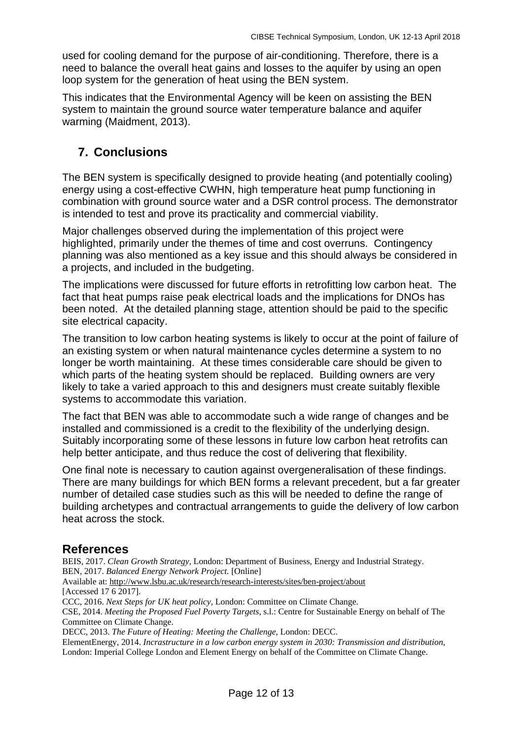used for cooling demand for the purpose of air-conditioning. Therefore, there is a need to balance the overall heat gains and losses to the aquifer by using an open loop system for the generation of heat using the BEN system.

This indicates that the Environmental Agency will be keen on assisting the BEN system to maintain the ground source water temperature balance and aquifer warming (Maidment, 2013).

# **7. Conclusions**

The BEN system is specifically designed to provide heating (and potentially cooling) energy using a cost-effective CWHN, high temperature heat pump functioning in combination with ground source water and a DSR control process. The demonstrator is intended to test and prove its practicality and commercial viability.

Major challenges observed during the implementation of this project were highlighted, primarily under the themes of time and cost overruns. Contingency planning was also mentioned as a key issue and this should always be considered in a projects, and included in the budgeting.

The implications were discussed for future efforts in retrofitting low carbon heat. The fact that heat pumps raise peak electrical loads and the implications for DNOs has been noted. At the detailed planning stage, attention should be paid to the specific site electrical capacity.

The transition to low carbon heating systems is likely to occur at the point of failure of an existing system or when natural maintenance cycles determine a system to no longer be worth maintaining. At these times considerable care should be given to which parts of the heating system should be replaced. Building owners are very likely to take a varied approach to this and designers must create suitably flexible systems to accommodate this variation.

The fact that BEN was able to accommodate such a wide range of changes and be installed and commissioned is a credit to the flexibility of the underlying design. Suitably incorporating some of these lessons in future low carbon heat retrofits can help better anticipate, and thus reduce the cost of delivering that flexibility.

One final note is necessary to caution against overgeneralisation of these findings. There are many buildings for which BEN forms a relevant precedent, but a far greater number of detailed case studies such as this will be needed to define the range of building archetypes and contractual arrangements to guide the delivery of low carbon heat across the stock.

### **References**

BEIS, 2017. *Clean Growth Strategy,* London: Department of Business, Energy and Industrial Strategy. BEN, 2017. *Balanced Energy Network Project.* [Online]

Available at: http://www.lsbu.ac.uk/research/research-interests/sites/ben-project/about

[Accessed 17 6 2017].

CCC, 2016. *Next Steps for UK heat policy,* London: Committee on Climate Change.

CSE, 2014. *Meeting the Proposed Fuel Poverty Targets,* s.l.: Centre for Sustainable Energy on behalf of The Committee on Climate Change.

DECC, 2013. *The Future of Heating: Meeting the Challenge,* London: DECC.

ElementEnergy, 2014. *Incrastructure in a low carbon energy system in 2030: Transmission and distribution,*  London: Imperial College London and Element Energy on behalf of the Committee on Climate Change.